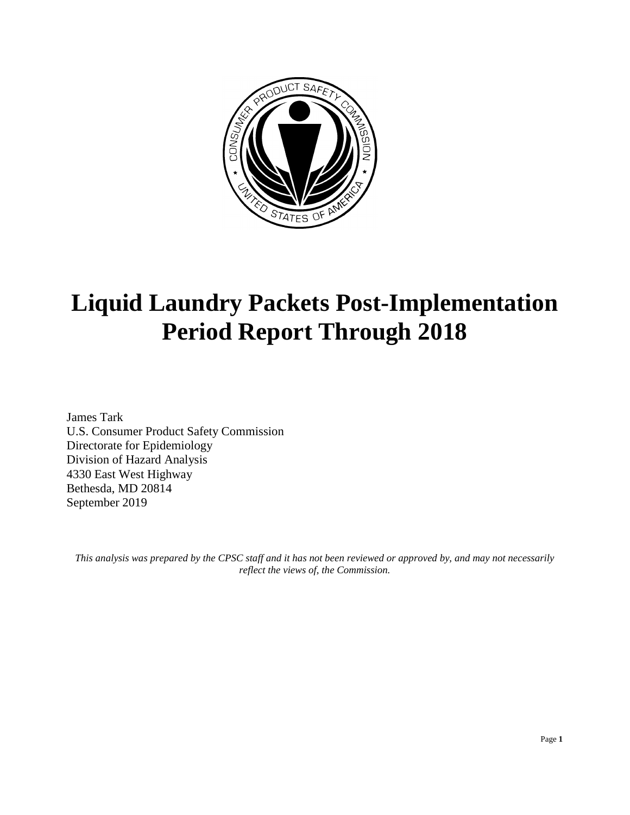

# **Liquid Laundry Packets Post-Implementation Period Report Through 2018**

James Tark U.S. Consumer Product Safety Commission Directorate for Epidemiology Division of Hazard Analysis 4330 East West Highway Bethesda, MD 20814 September 2019

*This analysis was prepared by the CPSC staff and it has not been reviewed or approved by, and may not necessarily reflect the views of, the Commission.*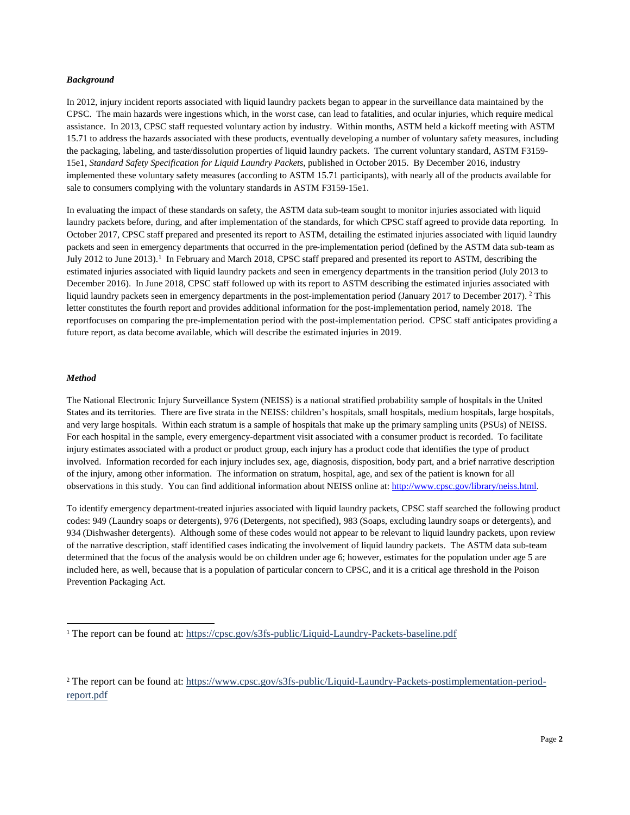#### *Background*

In 2012, injury incident reports associated with liquid laundry packets began to appear in the surveillance data maintained by the CPSC. The main hazards were ingestions which, in the worst case, can lead to fatalities, and ocular injuries, which require medical assistance. In 2013, CPSC staff requested voluntary action by industry. Within months, ASTM held a kickoff meeting with ASTM 15.71 to address the hazards associated with these products, eventually developing a number of voluntary safety measures, including the packaging, labeling, and taste/dissolution properties of liquid laundry packets. The current voluntary standard, ASTM F3159- 15e1, *Standard Safety Specification for Liquid Laundry Packets*, published in October 2015. By December 2016, industry implemented these voluntary safety measures (according to ASTM 15.71 participants), with nearly all of the products available for sale to consumers complying with the voluntary standards in ASTM F3159-15e1.

In evaluating the impact of these standards on safety, the ASTM data sub-team sought to monitor injuries associated with liquid laundry packets before, during, and after implementation of the standards, for which CPSC staff agreed to provide data reporting. In October 2017, CPSC staff prepared and presented its report to ASTM, detailing the estimated injuries associated with liquid laundry packets and seen in emergency departments that occurred in the pre-implementation period (defined by the ASTM data sub-team as July 20[1](#page-1-0)2 to June 2013).<sup>1</sup> In February and March 2018, CPSC staff prepared and presented its report to ASTM, describing the estimated injuries associated with liquid laundry packets and seen in emergency departments in the transition period (July 2013 to December 2016). In June 2018, CPSC staff followed up with its report to ASTM describing the estimated injuries associated with liquid laundry packets seen in emergency departments in the post-implementation period (January 2017 to December 2017). [2](#page-1-1) This letter constitutes the fourth report and provides additional information for the post-implementation period, namely 2018. The reportfocuses on comparing the pre-implementation period with the post-implementation period. CPSC staff anticipates providing a future report, as data become available, which will describe the estimated injuries in 2019.

#### *Method*

The National Electronic Injury Surveillance System (NEISS) is a national stratified probability sample of hospitals in the United States and its territories. There are five strata in the NEISS: children's hospitals, small hospitals, medium hospitals, large hospitals, and very large hospitals. Within each stratum is a sample of hospitals that make up the primary sampling units (PSUs) of NEISS. For each hospital in the sample, every emergency-department visit associated with a consumer product is recorded. To facilitate injury estimates associated with a product or product group, each injury has a product code that identifies the type of product involved. Information recorded for each injury includes sex, age, diagnosis, disposition, body part, and a brief narrative description of the injury, among other information. The information on stratum, hospital, age, and sex of the patient is known for all observations in this study. You can find additional information about NEISS online at: [http://www.cpsc.gov/library/neiss.html.](http://www.cpsc.gov/library/neiss.html)

To identify emergency department-treated injuries associated with liquid laundry packets, CPSC staff searched the following product codes: 949 (Laundry soaps or detergents), 976 (Detergents, not specified), 983 (Soaps, excluding laundry soaps or detergents), and 934 (Dishwasher detergents). Although some of these codes would not appear to be relevant to liquid laundry packets, upon review of the narrative description, staff identified cases indicating the involvement of liquid laundry packets. The ASTM data sub-team determined that the focus of the analysis would be on children under age 6; however, estimates for the population under age 5 are included here, as well, because that is a population of particular concern to CPSC, and it is a critical age threshold in the Poison Prevention Packaging Act.

<span id="page-1-0"></span><sup>&</sup>lt;sup>1</sup> The report can be found at: <https://cpsc.gov/s3fs-public/Liquid-Laundry-Packets-baseline.pdf>

<span id="page-1-1"></span><sup>2</sup> The report can be found at: [https://www.cpsc.gov/s3fs-public/Liquid-Laundry-Packets-postimplementation-period](https://www.cpsc.gov/s3fs-public/Liquid%20Laundry%20Packets%20postimplementation%20period%20report.pdf?czySkm8W7P.VZSl..WSdIwl0C_5PrXgI)[report.pdf](https://www.cpsc.gov/s3fs-public/Liquid%20Laundry%20Packets%20postimplementation%20period%20report.pdf?czySkm8W7P.VZSl..WSdIwl0C_5PrXgI)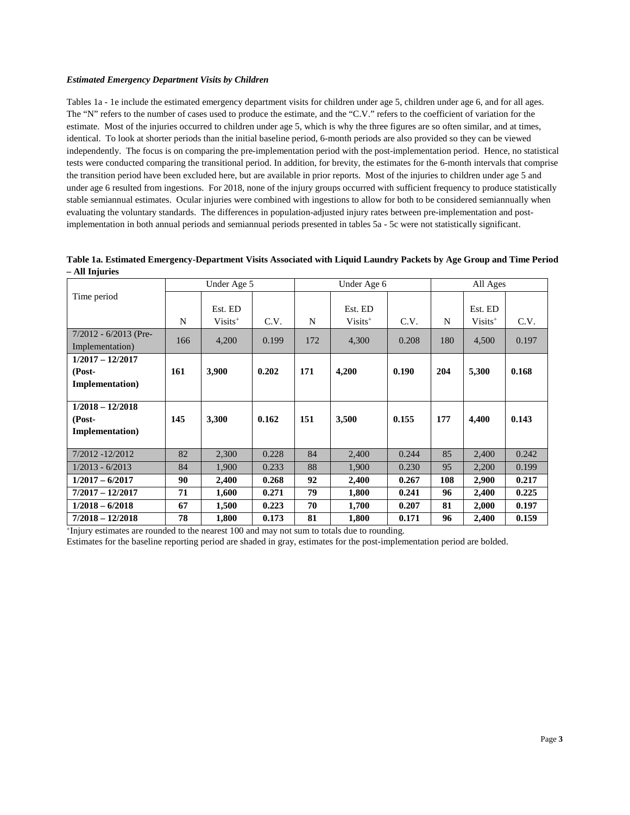### *Estimated Emergency Department Visits by Children*

Tables 1a - 1e include the estimated emergency department visits for children under age 5, children under age 6, and for all ages. The "N" refers to the number of cases used to produce the estimate, and the "C.V." refers to the coefficient of variation for the estimate. Most of the injuries occurred to children under age 5, which is why the three figures are so often similar, and at times, identical. To look at shorter periods than the initial baseline period, 6-month periods are also provided so they can be viewed independently. The focus is on comparing the pre-implementation period with the post-implementation period. Hence, no statistical tests were conducted comparing the transitional period. In addition, for brevity, the estimates for the 6-month intervals that comprise the transition period have been excluded here, but are available in prior reports. Most of the injuries to children under age 5 and under age 6 resulted from ingestions. For 2018, none of the injury groups occurred with sufficient frequency to produce statistically stable semiannual estimates. Ocular injuries were combined with ingestions to allow for both to be considered semiannually when evaluating the voluntary standards. The differences in population-adjusted injury rates between pre-implementation and postimplementation in both annual periods and semiannual periods presented in tables 5a - 5c were not statistically significant.

|                         |     | Under Age 5 |       |     | Under Age 6 |       |     | All Ages   |       |
|-------------------------|-----|-------------|-------|-----|-------------|-------|-----|------------|-------|
| Time period             |     |             |       |     |             |       |     |            |       |
|                         |     | Est. ED     |       |     | Est. ED     |       |     | Est. ED    |       |
|                         | N   | $Visits^+$  | C.V.  | N   | $Visits^+$  | C.V.  | N   | $Visits^+$ | C.V.  |
| $7/2012 - 6/2013$ (Pre- | 166 | 4,200       | 0.199 | 172 | 4,300       | 0.208 | 180 | 4,500      | 0.197 |
| Implementation)         |     |             |       |     |             |       |     |            |       |
| $1/2017 - 12/2017$      |     |             |       |     |             |       |     |            |       |
| (Post-                  | 161 | 3,900       | 0.202 | 171 | 4,200       | 0.190 | 204 | 5,300      | 0.168 |
| <b>Implementation</b> ) |     |             |       |     |             |       |     |            |       |
|                         |     |             |       |     |             |       |     |            |       |
| $1/2018 - 12/2018$      |     |             |       |     |             |       |     |            |       |
| (Post-                  | 145 | 3,300       | 0.162 | 151 | 3,500       | 0.155 | 177 | 4,400      | 0.143 |
| <b>Implementation</b> ) |     |             |       |     |             |       |     |            |       |
|                         |     |             |       |     |             |       |     |            |       |
| 7/2012 -12/2012         | 82  | 2,300       | 0.228 | 84  | 2,400       | 0.244 | 85  | 2,400      | 0.242 |
| $1/2013 - 6/2013$       | 84  | 1,900       | 0.233 | 88  | 1,900       | 0.230 | 95  | 2,200      | 0.199 |
| $1/2017 - 6/2017$       | 90  | 2,400       | 0.268 | 92  | 2,400       | 0.267 | 108 | 2,900      | 0.217 |
| $7/2017 - 12/2017$      | 71  | 1,600       | 0.271 | 79  | 1,800       | 0.241 | 96  | 2,400      | 0.225 |
| $1/2018 - 6/2018$       | 67  | 1,500       | 0.223 | 70  | 1,700       | 0.207 | 81  | 2,000      | 0.197 |
| $7/2018 - 12/2018$      | 78  | 1,800       | 0.173 | 81  | 1,800       | 0.171 | 96  | 2,400      | 0.159 |

**Table 1a. Estimated Emergency-Department Visits Associated with Liquid Laundry Packets by Age Group and Time Period – All Injuries**

+Injury estimates are rounded to the nearest 100 and may not sum to totals due to rounding.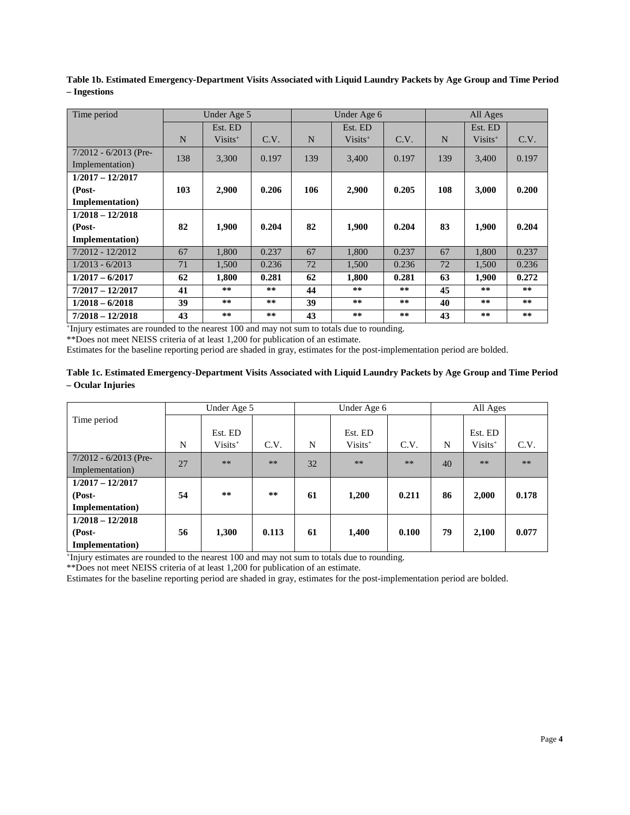**Table 1b. Estimated Emergency-Department Visits Associated with Liquid Laundry Packets by Age Group and Time Period – Ingestions**

| Time period             |     | Under Age 5 |       | Under Age 6 |            |       |     | All Ages   |       |
|-------------------------|-----|-------------|-------|-------------|------------|-------|-----|------------|-------|
|                         |     | Est. ED     |       |             | Est. ED    |       |     | Est. ED    |       |
|                         | N   | $Visits^+$  | C.V.  | N           | $Visits^+$ | C.V.  | N   | $Visits^+$ | C.V.  |
| $7/2012 - 6/2013$ (Pre- | 138 | 3,300       | 0.197 | 139         | 3,400      | 0.197 | 139 | 3,400      | 0.197 |
| Implementation)         |     |             |       |             |            |       |     |            |       |
| $1/2017 - 12/2017$      |     |             |       |             |            |       |     |            |       |
| (Post-                  | 103 | 2,900       | 0.206 | 106         | 2,900      | 0.205 | 108 | 3,000      | 0.200 |
| <b>Implementation</b> ) |     |             |       |             |            |       |     |            |       |
| $1/2018 - 12/2018$      |     |             |       |             |            |       |     |            |       |
| (Post-                  | 82  | 1,900       | 0.204 | 82          | 1,900      | 0.204 | 83  | 1,900      | 0.204 |
| <b>Implementation</b> ) |     |             |       |             |            |       |     |            |       |
| $7/2012 - 12/2012$      | 67  | 1,800       | 0.237 | 67          | 1,800      | 0.237 | 67  | 1,800      | 0.237 |
| $1/2013 - 6/2013$       | 71  | 1,500       | 0.236 | 72          | 1,500      | 0.236 | 72  | 1,500      | 0.236 |
| $1/2017 - 6/2017$       | 62  | 1,800       | 0.281 | 62          | 1,800      | 0.281 | 63  | 1,900      | 0.272 |
| $7/2017 - 12/2017$      | 41  | **          | **    | 44          | **         | **    | 45  | **         | **    |
| $1/2018 - 6/2018$       | 39  | **          | **    | 39          | **         | **    | 40  | **         | **    |
| $7/2018 - 12/2018$      | 43  | **          | **    | 43          | **         | **    | 43  | **         | **    |

+Injury estimates are rounded to the nearest 100 and may not sum to totals due to rounding.

\*\*Does not meet NEISS criteria of at least 1,200 for publication of an estimate.

Estimates for the baseline reporting period are shaded in gray, estimates for the post-implementation period are bolded.

## **Table 1c. Estimated Emergency-Department Visits Associated with Liquid Laundry Packets by Age Group and Time Period – Ocular Injuries**

|                         |    | Under Age 5         |       |    | Under Age 6 |       |    | All Ages            |       |
|-------------------------|----|---------------------|-------|----|-------------|-------|----|---------------------|-------|
| Time period             |    |                     |       |    |             |       |    |                     |       |
|                         |    | Est. ED             |       |    | Est. ED     |       |    | Est. ED             |       |
|                         | N  | Visits <sup>+</sup> | C.V.  | N  | $Visits^+$  | C.V.  | N  | Visits <sup>+</sup> | C.V.  |
| $7/2012 - 6/2013$ (Pre- | 27 | $**$                | $***$ | 32 | **          | $***$ | 40 | **                  | **    |
| Implementation)         |    |                     |       |    |             |       |    |                     |       |
| $1/2017 - 12/2017$      |    |                     |       |    |             |       |    |                     |       |
| (Post-                  | 54 | **                  | **    | 61 | 1,200       | 0.211 | 86 | 2,000               | 0.178 |
| <b>Implementation</b> ) |    |                     |       |    |             |       |    |                     |       |
| $1/2018 - 12/2018$      |    |                     |       |    |             |       |    |                     |       |
| (Post-                  | 56 | 1,300               | 0.113 | 61 | 1,400       | 0.100 | 79 | 2,100               | 0.077 |
| <b>Implementation</b> ) |    |                     |       |    |             |       |    |                     |       |

+Injury estimates are rounded to the nearest 100 and may not sum to totals due to rounding.

\*\*Does not meet NEISS criteria of at least 1,200 for publication of an estimate.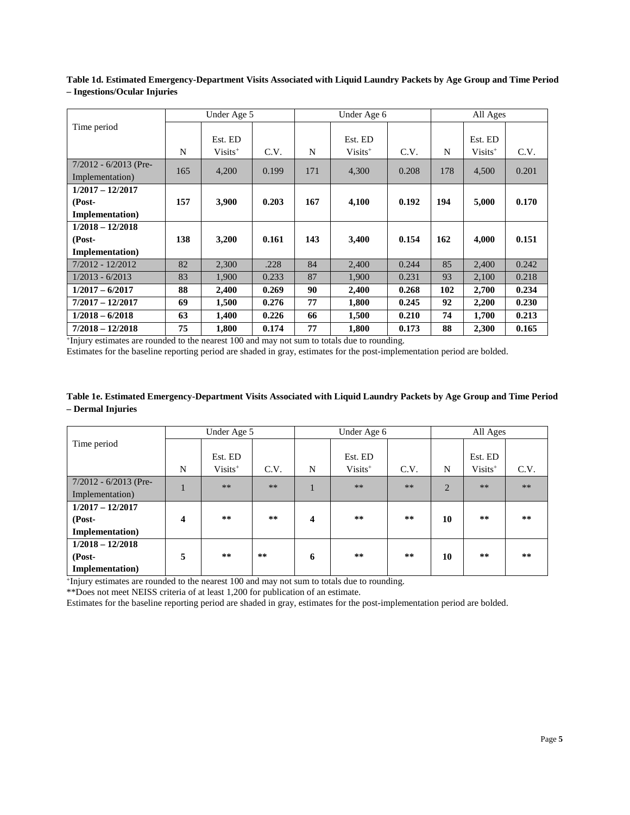|                         |     | Under Age 5 |       |     | Under Age 6 |       |     | All Ages   |       |
|-------------------------|-----|-------------|-------|-----|-------------|-------|-----|------------|-------|
| Time period             |     |             |       |     |             |       |     |            |       |
|                         |     | Est. ED     |       |     | Est. ED     |       |     | Est. ED    |       |
|                         | N   | $Visits^+$  | C.V.  | N   | $Visits^+$  | C.V.  | N   | $Visits^+$ | C.V.  |
| $7/2012 - 6/2013$ (Pre- | 165 | 4,200       | 0.199 | 171 | 4,300       | 0.208 | 178 | 4,500      | 0.201 |
| Implementation)         |     |             |       |     |             |       |     |            |       |
| $1/2017 - 12/2017$      |     |             |       |     |             |       |     |            |       |
| (Post-                  | 157 | 3,900       | 0.203 | 167 | 4,100       | 0.192 | 194 | 5,000      | 0.170 |
| <b>Implementation</b> ) |     |             |       |     |             |       |     |            |       |
| $1/2018 - 12/2018$      |     |             |       |     |             |       |     |            |       |
| (Post-                  | 138 | 3,200       | 0.161 | 143 | 3,400       | 0.154 | 162 | 4,000      | 0.151 |
| <b>Implementation</b> ) |     |             |       |     |             |       |     |            |       |
| $7/2012 - 12/2012$      | 82  | 2,300       | .228  | 84  | 2,400       | 0.244 | 85  | 2,400      | 0.242 |
| $1/2013 - 6/2013$       | 83  | 1,900       | 0.233 | 87  | 1,900       | 0.231 | 93  | 2,100      | 0.218 |
| $1/2017 - 6/2017$       | 88  | 2,400       | 0.269 | 90  | 2,400       | 0.268 | 102 | 2,700      | 0.234 |
| $7/2017 - 12/2017$      | 69  | 1,500       | 0.276 | 77  | 1,800       | 0.245 | 92  | 2,200      | 0.230 |
| $1/2018 - 6/2018$       | 63  | 1,400       | 0.226 | 66  | 1,500       | 0.210 | 74  | 1,700      | 0.213 |
| $7/2018 - 12/2018$      | 75  | 1,800       | 0.174 | 77  | 1,800       | 0.173 | 88  | 2,300      | 0.165 |

**Table 1d. Estimated Emergency-Department Visits Associated with Liquid Laundry Packets by Age Group and Time Period – Ingestions/Ocular Injuries**

+Injury estimates are rounded to the nearest 100 and may not sum to totals due to rounding.

Estimates for the baseline reporting period are shaded in gray, estimates for the post-implementation period are bolded.

## **Table 1e. Estimated Emergency-Department Visits Associated with Liquid Laundry Packets by Age Group and Time Period – Dermal Injuries**

|                         |   | Under Age 5 |       |   | Under Age 6 |      |                | All Ages   |      |
|-------------------------|---|-------------|-------|---|-------------|------|----------------|------------|------|
| Time period             |   |             |       |   |             |      |                |            |      |
|                         |   | Est. ED     |       |   | Est. ED     |      |                | Est. ED    |      |
|                         | N | $Visits+$   | C.V.  | N | $Visits+$   | C.V. | N              | $Visits^+$ | C.V. |
| $7/2012 - 6/2013$ (Pre- |   | $***$       | $***$ |   | $**$        | $**$ | $\overline{2}$ | $***$      | $**$ |
| Implementation)         |   |             |       |   |             |      |                |            |      |
| $1/2017 - 12/2017$      |   |             |       |   |             |      |                |            |      |
| (Post-                  | 4 | **          | **    | 4 | **          | **   | 10             | **         | **   |
| <b>Implementation</b> ) |   |             |       |   |             |      |                |            |      |
| $1/2018 - 12/2018$      |   |             |       |   |             |      |                |            |      |
| (Post-                  | 5 | **          | **    | 6 | **          | **   | 10             | **         | **   |
| Implementation)         |   |             |       |   |             |      |                |            |      |

+Injury estimates are rounded to the nearest 100 and may not sum to totals due to rounding.

\*\*Does not meet NEISS criteria of at least 1,200 for publication of an estimate.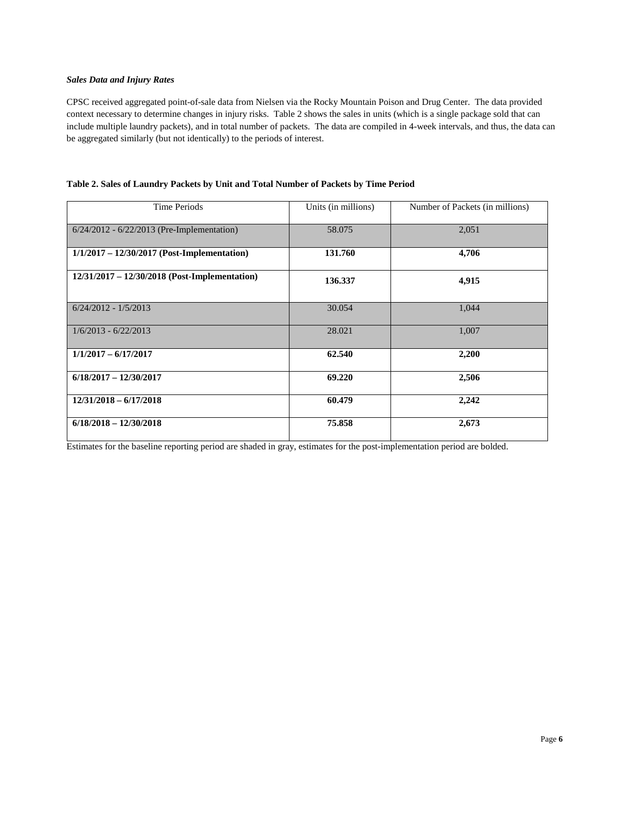## *Sales Data and Injury Rates*

CPSC received aggregated point-of-sale data from Nielsen via the Rocky Mountain Poison and Drug Center. The data provided context necessary to determine changes in injury risks. Table 2 shows the sales in units (which is a single package sold that can include multiple laundry packets), and in total number of packets. The data are compiled in 4-week intervals, and thus, the data can be aggregated similarly (but not identically) to the periods of interest.

| <b>Time Periods</b>                             | Units (in millions) | Number of Packets (in millions) |
|-------------------------------------------------|---------------------|---------------------------------|
|                                                 |                     |                                 |
| $6/24/2012 - 6/22/2013$ (Pre-Implementation)    | 58.075              | 2,051                           |
|                                                 |                     |                                 |
| $1/1/2017 - 12/30/2017$ (Post-Implementation)   | 131.760             | 4,706                           |
|                                                 |                     |                                 |
| $12/31/2017 - 12/30/2018$ (Post-Implementation) | 136.337             | 4,915                           |
|                                                 |                     |                                 |
|                                                 |                     |                                 |
| $6/24/2012 - 1/5/2013$                          | 30.054              | 1,044                           |
|                                                 |                     |                                 |
| $1/6/2013 - 6/22/2013$                          | 28.021              | 1,007                           |
|                                                 |                     |                                 |
| $1/1/2017 - 6/17/2017$                          | 62.540              | 2,200                           |
|                                                 |                     |                                 |
| $6/18/2017 - 12/30/2017$                        | 69.220              | 2,506                           |
|                                                 |                     |                                 |
| $12/31/2018 - 6/17/2018$                        | 60.479              | 2,242                           |
|                                                 |                     |                                 |
| $6/18/2018 - 12/30/2018$                        | 75.858              | 2,673                           |
|                                                 |                     |                                 |

| Table 2. Sales of Laundry Packets by Unit and Total Number of Packets by Time Period |  |  |
|--------------------------------------------------------------------------------------|--|--|
|                                                                                      |  |  |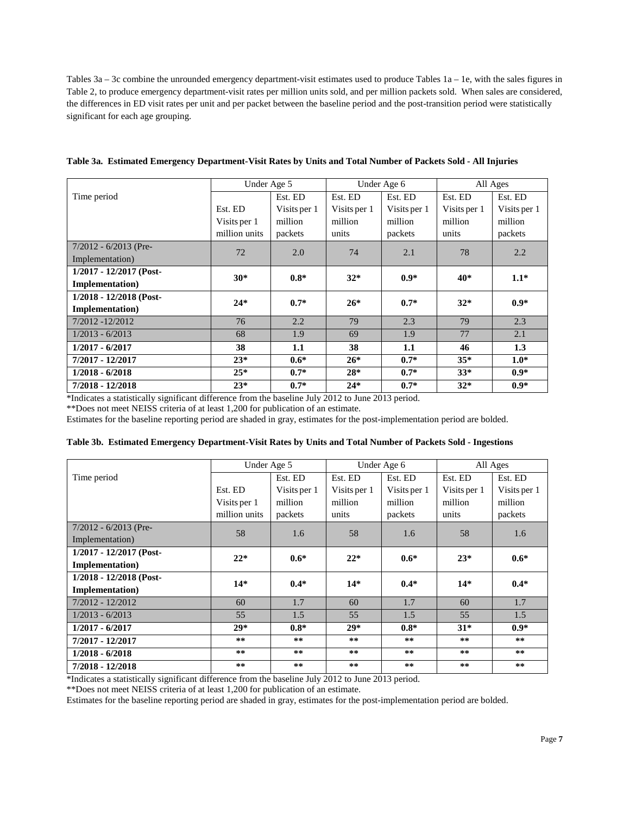Tables 3a – 3c combine the unrounded emergency department-visit estimates used to produce Tables 1a – 1e, with the sales figures in Table 2, to produce emergency department-visit rates per million units sold, and per million packets sold. When sales are considered, the differences in ED visit rates per unit and per packet between the baseline period and the post-transition period were statistically significant for each age grouping.

|                           | Under Age 5   |              |              | Under Age 6  | All Ages     |              |  |
|---------------------------|---------------|--------------|--------------|--------------|--------------|--------------|--|
| Time period               |               | Est. ED      | Est. ED      | Est. ED      | Est. ED      | Est. ED      |  |
|                           | Est. ED       | Visits per 1 | Visits per 1 | Visits per 1 | Visits per 1 | Visits per 1 |  |
|                           | Visits per 1  | million      | million      | million      | million      | million      |  |
|                           | million units | packets      | units        | packets      | units        | packets      |  |
| $7/2012 - 6/2013$ (Pre-   | 72            | 2.0          | 74           | 2.1          | 78           | 2.2          |  |
| Implementation)           |               |              |              |              |              |              |  |
| 1/2017 - 12/2017 (Post-   | $30*$         | $0.8*$       | $32*$        | $0.9*$       | 40*          | $1.1*$       |  |
| <b>Implementation</b> )   |               |              |              |              |              |              |  |
| $1/2018 - 12/2018$ (Post- | $24*$         | $0.7*$       | $26*$        | $0.7*$       | $32*$        | $0.9*$       |  |
| <b>Implementation</b> )   |               |              |              |              |              |              |  |
| $7/2012 - 12/2012$        | 76            | 2.2          | 79           | 2.3          | 79           | 2.3          |  |
| $1/2013 - 6/2013$         | 68            | 1.9          | 69           | 1.9          | 77           | 2.1          |  |
| $1/2017 - 6/2017$         | 38            | 1.1          | 38           | 1.1          | 46           | 1.3          |  |
| 7/2017 - 12/2017          | $23*$         | $0.6*$       | $26*$        | $0.7*$       | $35*$        | $1.0*$       |  |
| $1/2018 - 6/2018$         | $25*$         | $0.7*$       | $28*$        | $0.7*$       | $33*$        | $0.9*$       |  |
| 7/2018 - 12/2018          | $23*$         | $0.7*$       | $24*$        | $0.7*$       | $32*$        | $0.9*$       |  |

| Table 3a. Estimated Emergency Department-Visit Rates by Units and Total Number of Packets Sold - All Injuries |  |  |  |
|---------------------------------------------------------------------------------------------------------------|--|--|--|
|                                                                                                               |  |  |  |
|                                                                                                               |  |  |  |
|                                                                                                               |  |  |  |

\*Indicates a statistically significant difference from the baseline July 2012 to June 2013 period.

\*\*Does not meet NEISS criteria of at least 1,200 for publication of an estimate.

Estimates for the baseline reporting period are shaded in gray, estimates for the post-implementation period are bolded.

#### **Table 3b. Estimated Emergency Department-Visit Rates by Units and Total Number of Packets Sold - Ingestions**

|                           | Under Age 5   |              |              | Under Age 6  | All Ages     |              |  |
|---------------------------|---------------|--------------|--------------|--------------|--------------|--------------|--|
| Time period               |               | Est. ED      | Est. ED      | Est. ED      | Est. ED      | Est. ED      |  |
|                           | Est. ED       | Visits per 1 | Visits per 1 | Visits per 1 | Visits per 1 | Visits per 1 |  |
|                           | Visits per 1  | million      | million      | million      | million      | million      |  |
|                           | million units | packets      | units        | packets      | units        | packets      |  |
| $7/2012 - 6/2013$ (Pre-   | 58            | 1.6          | 58           | 1.6          | 58           | 1.6          |  |
| Implementation)           |               |              |              |              |              |              |  |
| $1/2017 - 12/2017$ (Post- | $22*$         | $0.6*$       | $22*$        | $0.6*$       | $23*$        | $0.6*$       |  |
| <b>Implementation</b> )   |               |              |              |              |              |              |  |
| 1/2018 - 12/2018 (Post-   | $14*$         | $0.4*$       | $14*$        | $0.4*$       | $14*$        | $0.4*$       |  |
| <b>Implementation</b> )   |               |              |              |              |              |              |  |
| $7/2012 - 12/2012$        | 60            | 1.7          | 60           | 1.7          | 60           | 1.7          |  |
| $1/2013 - 6/2013$         | 55            | 1.5          | 55           | 1.5          | 55           | 1.5          |  |
| $1/2017 - 6/2017$         | $29*$         | $0.8*$       | $29*$        | $0.8*$       | $31*$        | $0.9*$       |  |
| 7/2017 - 12/2017          | **            | **           | **           | **           | **           | **           |  |
| $1/2018 - 6/2018$         | **            | **           | **           | **           | **           | **           |  |
| 7/2018 - 12/2018          | **            | **           | **           | **           | **           | **           |  |

\*Indicates a statistically significant difference from the baseline July 2012 to June 2013 period.

\*\*Does not meet NEISS criteria of at least 1,200 for publication of an estimate.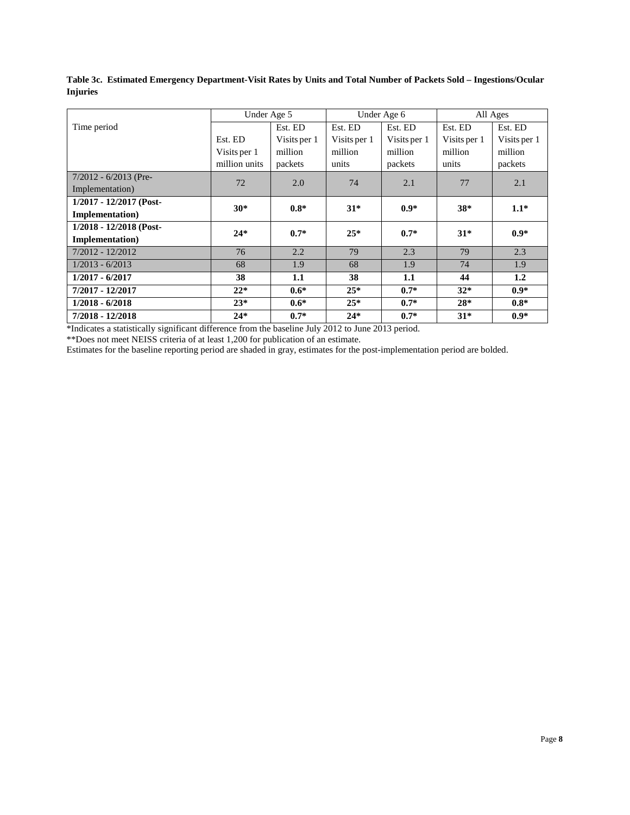**Table 3c. Estimated Emergency Department-Visit Rates by Units and Total Number of Packets Sold – Ingestions/Ocular Injuries**

|                         | Under Age 5   |              |              | Under Age 6  | All Ages     |              |  |
|-------------------------|---------------|--------------|--------------|--------------|--------------|--------------|--|
| Time period             |               | Est. ED      | Est. ED      | Est. ED      | Est. ED      | Est. ED      |  |
|                         | Est. ED       | Visits per 1 | Visits per 1 | Visits per 1 | Visits per 1 | Visits per 1 |  |
|                         | Visits per 1  | million      | million      | million      | million      | million      |  |
|                         | million units | packets      | units        | packets      | units        | packets      |  |
| $7/2012 - 6/2013$ (Pre- | 72            | 2.0          | 74           | 2.1          | 77           | 2.1          |  |
| Implementation)         |               |              |              |              |              |              |  |
| 1/2017 - 12/2017 (Post- | $30*$         | $0.8*$       | $31*$        | $0.9*$       | $38*$        | $1.1*$       |  |
| <b>Implementation</b> ) |               |              |              |              |              |              |  |
| 1/2018 - 12/2018 (Post- | $24*$         | $0.7*$       | $25*$        | $0.7*$       | $31*$        | $0.9*$       |  |
| <b>Implementation</b> ) |               |              |              |              |              |              |  |
| $7/2012 - 12/2012$      | 76            | 2.2          | 79           | 2.3          | 79           | 2.3          |  |
| $1/2013 - 6/2013$       | 68            | 1.9          | 68           | 1.9          | 74           | 1.9          |  |
| $1/2017 - 6/2017$       | 38            | 1.1          | 38           | 1.1          | 44           | 1.2          |  |
| 7/2017 - 12/2017        | $22*$         | $0.6*$       | $25*$        | $0.7*$       | $32*$        | $0.9*$       |  |
| $1/2018 - 6/2018$       | $23*$         | $0.6*$       | $25*$        | $0.7*$       | $28*$        | $0.8*$       |  |
| 7/2018 - 12/2018        | $24*$         | $0.7*$       | $24*$        | $0.7*$       | $31*$        | $0.9*$       |  |

\*Indicates a statistically significant difference from the baseline July 2012 to June 2013 period.

\*\*Does not meet NEISS criteria of at least 1,200 for publication of an estimate.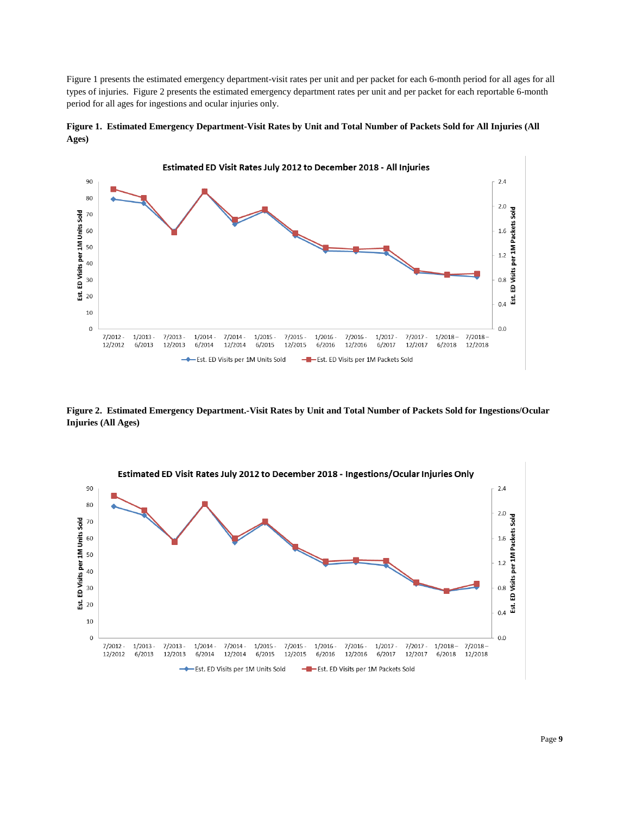Figure 1 presents the estimated emergency department-visit rates per unit and per packet for each 6-month period for all ages for all types of injuries. Figure 2 presents the estimated emergency department rates per unit and per packet for each reportable 6-month period for all ages for ingestions and ocular injuries only.



**Figure 1. Estimated Emergency Department-Visit Rates by Unit and Total Number of Packets Sold for All Injuries (All Ages)**

**Figure 2. Estimated Emergency Department.-Visit Rates by Unit and Total Number of Packets Sold for Ingestions/Ocular Injuries (All Ages)**

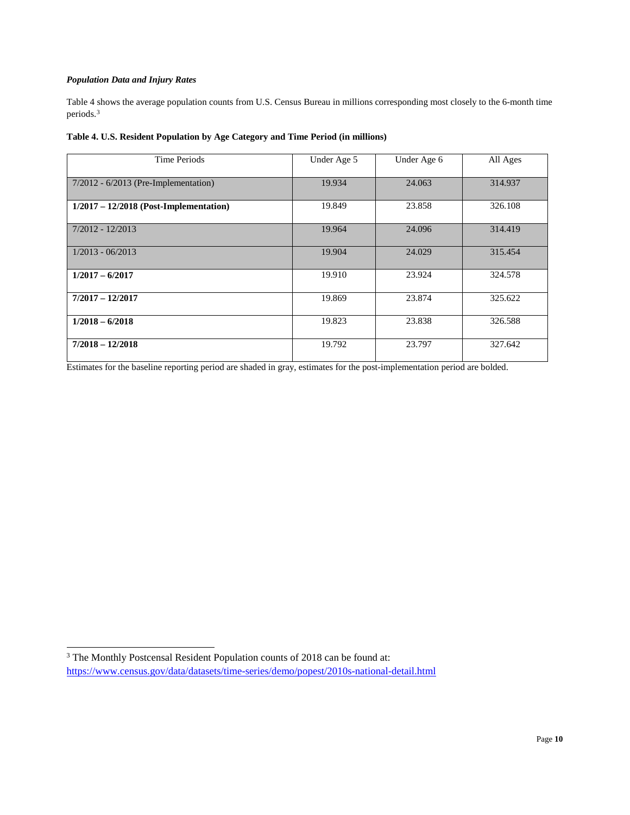## *Population Data and Injury Rates*

Table 4 shows the average population counts from U.S. Census Bureau in millions corresponding most closely to the 6-month time periods.[3](#page-9-0)

| Table 4. U.S. Resident Population by Age Category and Time Period (in millions) |  |  |
|---------------------------------------------------------------------------------|--|--|
|                                                                                 |  |  |

| <b>Time Periods</b>                      | Under Age 5 | Under Age 6 | All Ages |
|------------------------------------------|-------------|-------------|----------|
| $7/2012 - 6/2013$ (Pre-Implementation)   | 19.934      | 24.063      | 314.937  |
| $1/2017 - 12/2018$ (Post-Implementation) | 19.849      | 23.858      | 326.108  |
| $7/2012 - 12/2013$                       | 19.964      | 24.096      | 314.419  |
| $1/2013 - 06/2013$                       | 19.904      | 24.029      | 315.454  |
| $1/2017 - 6/2017$                        | 19.910      | 23.924      | 324.578  |
| $7/2017 - 12/2017$                       | 19.869      | 23.874      | 325.622  |
| $1/2018 - 6/2018$                        | 19.823      | 23.838      | 326.588  |
| $7/2018 - 12/2018$                       | 19.792      | 23.797      | 327.642  |

<span id="page-9-0"></span><sup>&</sup>lt;sup>3</sup> The Monthly Postcensal Resident Population counts of 2018 can be found at: <https://www.census.gov/data/datasets/time-series/demo/popest/2010s-national-detail.html>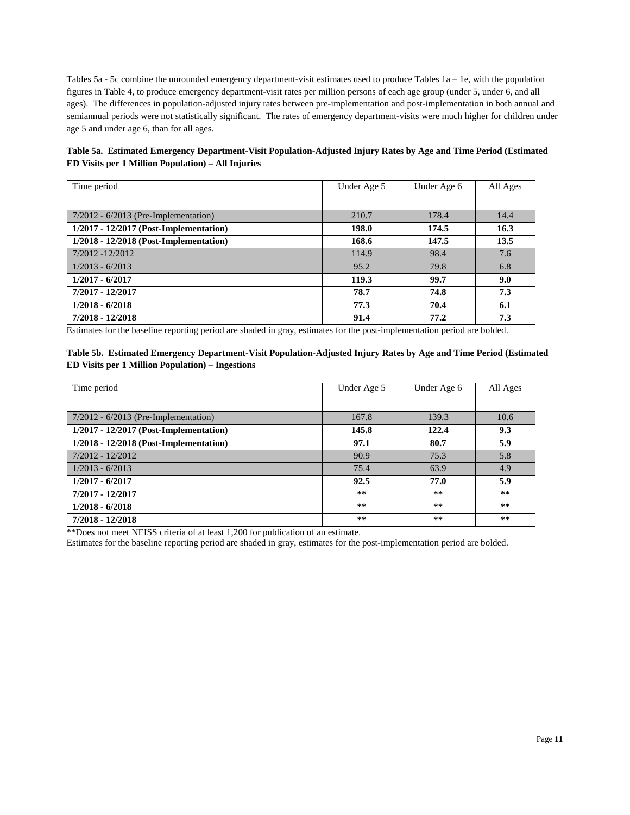Tables  $5a - 5c$  combine the unrounded emergency department-visit estimates used to produce Tables  $1a - 1e$ , with the population figures in Table 4, to produce emergency department-visit rates per million persons of each age group (under 5, under 6, and all ages). The differences in population-adjusted injury rates between pre-implementation and post-implementation in both annual and semiannual periods were not statistically significant. The rates of emergency department-visits were much higher for children under age 5 and under age 6, than for all ages.

**Table 5a. Estimated Emergency Department-Visit Population-Adjusted Injury Rates by Age and Time Period (Estimated ED Visits per 1 Million Population) – All Injuries**

| Time period                              | Under Age 5 | Under Age 6 | All Ages |
|------------------------------------------|-------------|-------------|----------|
|                                          |             |             |          |
| $7/2012 - 6/2013$ (Pre-Implementation)   | 210.7       | 178.4       | 14.4     |
| $1/2017 - 12/2017$ (Post-Implementation) | 198.0       | 174.5       | 16.3     |
| 1/2018 - 12/2018 (Post-Implementation)   | 168.6       | 147.5       | 13.5     |
| $7/2012 - 12/2012$                       | 114.9       | 98.4        | 7.6      |
| $1/2013 - 6/2013$                        | 95.2        | 79.8        | 6.8      |
| $1/2017 - 6/2017$                        | 119.3       | 99.7        | 9.0      |
| 7/2017 - 12/2017                         | 78.7        | 74.8        | 7.3      |
| $1/2018 - 6/2018$                        | 77.3        | 70.4        | 6.1      |
| 7/2018 - 12/2018                         | 91.4        | 77.2        | 7.3      |

Estimates for the baseline reporting period are shaded in gray, estimates for the post-implementation period are bolded.

**Table 5b. Estimated Emergency Department-Visit Population-Adjusted Injury Rates by Age and Time Period (Estimated ED Visits per 1 Million Population) – Ingestions**

| Time period                              | Under Age 5 | Under Age 6 | All Ages |
|------------------------------------------|-------------|-------------|----------|
|                                          |             |             |          |
| $7/2012 - 6/2013$ (Pre-Implementation)   | 167.8       | 139.3       | 10.6     |
| $1/2017 - 12/2017$ (Post-Implementation) | 145.8       | 122.4       | 9.3      |
| $1/2018 - 12/2018$ (Post-Implementation) | 97.1        | 80.7        | 5.9      |
| $7/2012 - 12/2012$                       | 90.9        | 75.3        | 5.8      |
| $1/2013 - 6/2013$                        | 75.4        | 63.9        | 4.9      |
| $1/2017 - 6/2017$                        | 92.5        | 77.0        | 5.9      |
| 7/2017 - 12/2017                         | **          | **          | **       |
| $1/2018 - 6/2018$                        | **          | **          | **       |
| 7/2018 - 12/2018                         | **          | **          | **       |

\*\*Does not meet NEISS criteria of at least 1,200 for publication of an estimate.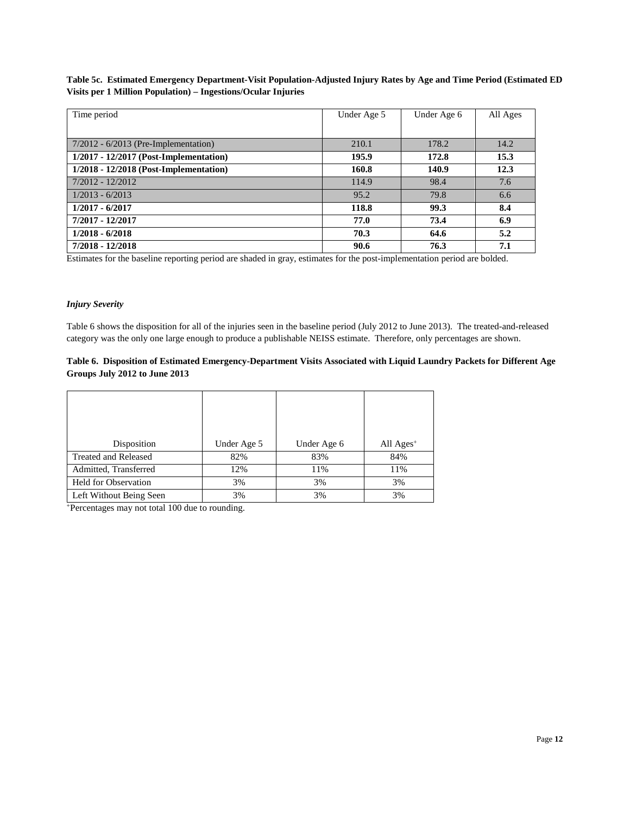## **Table 5c. Estimated Emergency Department-Visit Population-Adjusted Injury Rates by Age and Time Period (Estimated ED Visits per 1 Million Population) – Ingestions/Ocular Injuries**

| Time period                              | Under Age 5 | Under Age 6 | All Ages |
|------------------------------------------|-------------|-------------|----------|
|                                          |             |             |          |
| $7/2012 - 6/2013$ (Pre-Implementation)   | 210.1       | 178.2       | 14.2     |
| $1/2017 - 12/2017$ (Post-Implementation) | 195.9       | 172.8       | 15.3     |
| $1/2018 - 12/2018$ (Post-Implementation) | 160.8       | 140.9       | 12.3     |
| $7/2012 - 12/2012$                       | 114.9       | 98.4        | 7.6      |
| $1/2013 - 6/2013$                        | 95.2        | 79.8        | 6.6      |
| $1/2017 - 6/2017$                        | 118.8       | 99.3        | 8.4      |
| 7/2017 - 12/2017                         | 77.0        | 73.4        | 6.9      |
| $1/2018 - 6/2018$                        | 70.3        | 64.6        | 5.2      |
| 7/2018 - 12/2018                         | 90.6        | 76.3        | 7.1      |

Estimates for the baseline reporting period are shaded in gray, estimates for the post-implementation period are bolded.

#### *Injury Severity*

Table 6 shows the disposition for all of the injuries seen in the baseline period (July 2012 to June 2013). The treated-and-released category was the only one large enough to produce a publishable NEISS estimate. Therefore, only percentages are shown.

# **Table 6. Disposition of Estimated Emergency-Department Visits Associated with Liquid Laundry Packets for Different Age Groups July 2012 to June 2013**

| Disposition                 | Under Age 5 | Under Age 6 | All $Ages^+$ |
|-----------------------------|-------------|-------------|--------------|
| <b>Treated and Released</b> | 82%         | 83%         | 84%          |
| Admitted, Transferred       | 12%         | 11%         | 11%          |
| <b>Held for Observation</b> | 3%          | 3%          | 3%           |
| Left Without Being Seen     | 3%          | 3%          | 3%           |

+Percentages may not total 100 due to rounding.